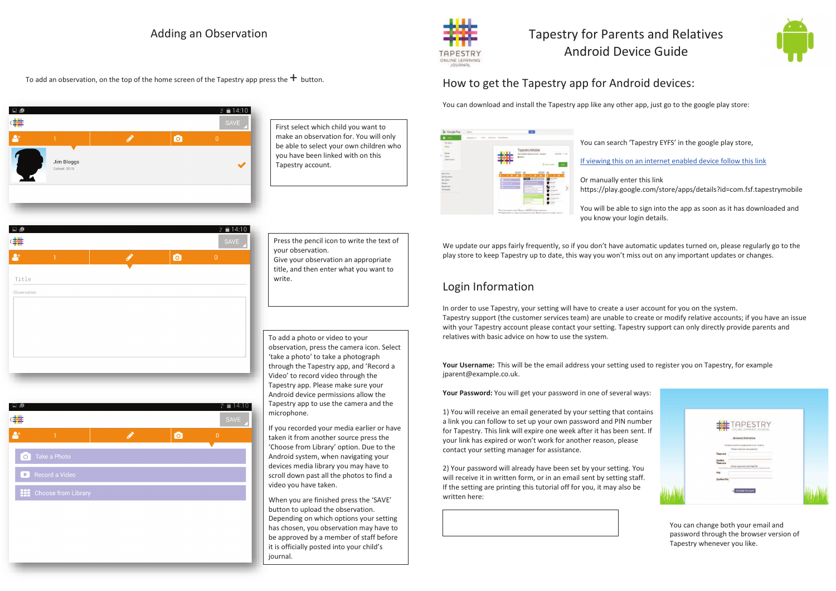## Adding an Observation

 $\epsilon = 14.10$ 

To add an observation, on the top of the home screen of the Tapestry app press the  $+$  button.

 $\bullet$ 

| Ģ<br>Ł                  |                            |    | $\widehat{F}$ = 14:10<br><b>SAVE</b> |
|-------------------------|----------------------------|----|--------------------------------------|
| $\overline{\mathbf{r}}$ |                            | Гō | $\overline{0}$                       |
|                         | Jim Bloggs<br>Cohort: 2015 |    |                                      |
|                         |                            |    |                                      |

Title Observation

First select which child you want to make an observation for. You will only be able to select your own children who you have been linked with on this Tapestry account.

Press the pencil icon to write the text of your observation. Give your observation an appropriate title, and then enter what you want to write.

To add a photo or video to your observation, press the camera icon. Select 'take a photo' to take a photograph through the Tapestry app, and 'Record a Video' to record video through the Tapestry app. Please make sure your Android device permissions allow the Tapestry app to use the camera and the microphone.

If you recorded your media earlier or have taken it from another source press the 'Choose from Library' option. Due to the Android system, when navigating your devices media library you may have to scroll down past all the photos to find a video you have taken.

When you are finished press the 'SAVE'button to upload the observation. Depending on which options your setting has chosen, you observation may have to be approved by a member of staff before it is officially posted into your child's journal.

How to get the Tapestry app for Android devices:

You can download and install the Tapestry app like any other app, just go to the google play store:

Tapestry for Parents and Relatives Android Device Guide

| Cutopores w<br><b>Fallen</b> | <b>Boy Edward</b><br><b>Exec Churche</b> | <b>Tapestry Mobile</b><br><b>CANADIAN</b><br><b>ARRAIGHTE</b>                                                                         |
|------------------------------|------------------------------------------|---------------------------------------------------------------------------------------------------------------------------------------|
|                              |                                          |                                                                                                                                       |
|                              |                                          |                                                                                                                                       |
|                              |                                          | The Expedition Stage Forum Ltd. Galaxies<br>E rota 3<br><b>B</b> Minnesotte<br><b>SHOP</b>                                            |
|                              | $\mathbf{r}$ . The set of $\mathbf{r}$   | $\mathcal{L}$ and $\mathcal{L}$<br><b>Call County</b><br>×<br>--                                                                      |
|                              |                                          | <b>An audi</b><br><b>SHEET</b><br>----<br>and the<br>۰<br>٠<br><b>MONTHS LEADERS</b><br>www.tibowitz<br><b>Manufacturer</b><br>$\sim$ |
|                              |                                          | <b>WASHINGTON</b><br>---<br><b>Allegander</b><br><b><i>UNIVERSITY</i></b><br><b>In King</b><br><b>Address Ford</b>                    |
|                              |                                          |                                                                                                                                       |

You can search 'Tapestry EYFS' in the google play store,

If viewing this on an internet enabled device follow this link

Or manually enter this link

https://play.google.com/store/apps/details?id=com.fsf.tapestrymobile

You will be able to sign into the app as soon as it has downloaded and you know your login details.

We update our apps fairly frequently, so if you don't have automatic updates turned on, please regularly go to the play store to keep Tapestry up to date, this way you won't miss out on any important updates or changes.

## Login Information

In order to use Tapestry, your setting will have to create a user account for you on the system. Tapestry support (the customer services team) are unable to create or modify relative accounts; if you have an issue with your Tapestry account please contact your setting. Tapestry support can only directly provide parents and relatives with basic advice on how to use the system.

**Your Username:** This will be the email address your setting used to register you on Tapestry, for example jparent@example.co.uk.

**Your Password:** You will get your password in one of several ways:

1) You will receive an email generated by your setting that contains a link you can follow to set up your own password and PIN number for Tapestry. This link will expire one week after it has been sent. If your link has expired or won't work for another reason, please contact your setting manager for assistance.

2) Your password will already have been set by your setting. You will receive it in written form, or in an email sent by setting staff. If the setting are printing this tutorial off for you, it may also be written here:

> You can change both your email and password through the browser version of Tapestry whenever you like.







ONLINE LEGRNING